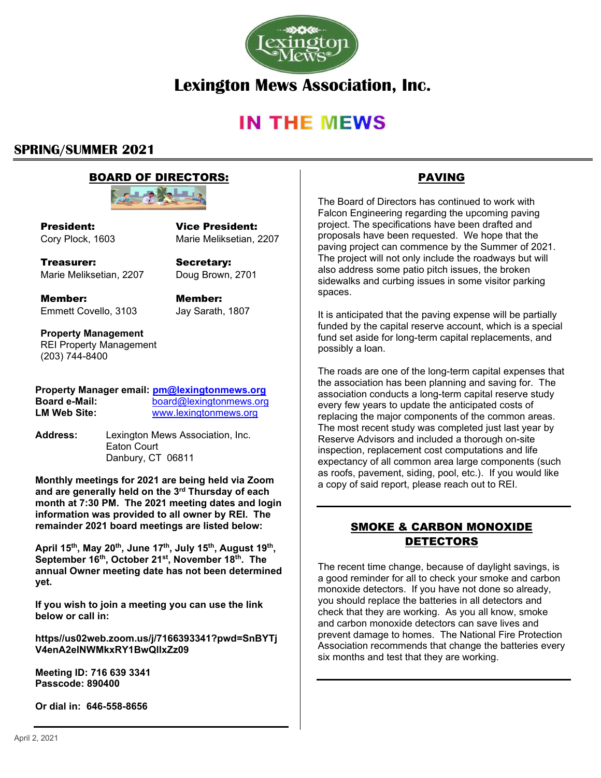

# **Lexington Mews Association, Inc.**

# **IN THE MEWS**

# **SPRING/SUMMER 2021**

## BOARD OF DIRECTORS:



President: Cory Plock, 1603

Vice President: Marie Meliksetian, 2207

Treasurer: Marie Meliksetian, 2207

Secretary: Doug Brown, 2701

Member: Emmett Covello, 3103 Member: Jay Sarath, 1807

**Property Management** REI Property Management (203) 744-8400

|               | Property Manager email: pm@lexingtonmews.org |
|---------------|----------------------------------------------|
| Board e-Mail: | board@lexingtonmews.org                      |
| LM Web Site:  | www.lexingtonmews.org                        |

**Address:** Lexington Mews Association, Inc. Eaton Court Danbury, CT 06811

**Monthly meetings for 2021 are being held via Zoom and are generally held on the 3 rd Thursday of each month at 7:30 PM. The 2021 meeting dates and login information was provided to all owner by REI. The remainder 2021 board meetings are listed below:** 

**April 15th, May 20th, June 17th, July 15th, August 19th , September 16th, October 21st, November 18th. The annual Owner meeting date has not been determined yet.** 

**If you wish to join a meeting you can use the link below or call in:**

**https//us02web.zoom.us/j/7166393341?pwd=SnBYTj V4enA2elNWMkxRY1BwQllxZz09**

**Meeting ID: 716 639 3341 Passcode: 890400**

**Or dial in: 646-558-8656**

# PAVING

The Board of Directors has continued to work with Falcon Engineering regarding the upcoming paving project. The specifications have been drafted and proposals have been requested. We hope that the paving project can commence by the Summer of 2021. The project will not only include the roadways but will also address some patio pitch issues, the broken sidewalks and curbing issues in some visitor parking spaces.

It is anticipated that the paving expense will be partially funded by the capital reserve account, which is a special fund set aside for long-term capital replacements, and possibly a loan.

The roads are one of the long-term capital expenses that the association has been planning and saving for. The association conducts a long-term capital reserve study every few years to update the anticipated costs of replacing the major components of the common areas. The most recent study was completed just last year by Reserve Advisors and included a thorough on-site inspection, replacement cost computations and life expectancy of all common area large components (such as roofs, pavement, siding, pool, etc.). If you would like a copy of said report, please reach out to REI.

## SMOKE & CARBON MONOXIDE DETECTORS

The recent time change, because of daylight savings, is a good reminder for all to check your smoke and carbon monoxide detectors. If you have not done so already, you should replace the batteries in all detectors and check that they are working. As you all know, smoke and carbon monoxide detectors can save lives and prevent damage to homes. The National Fire Protection Association recommends that change the batteries every six months and test that they are working.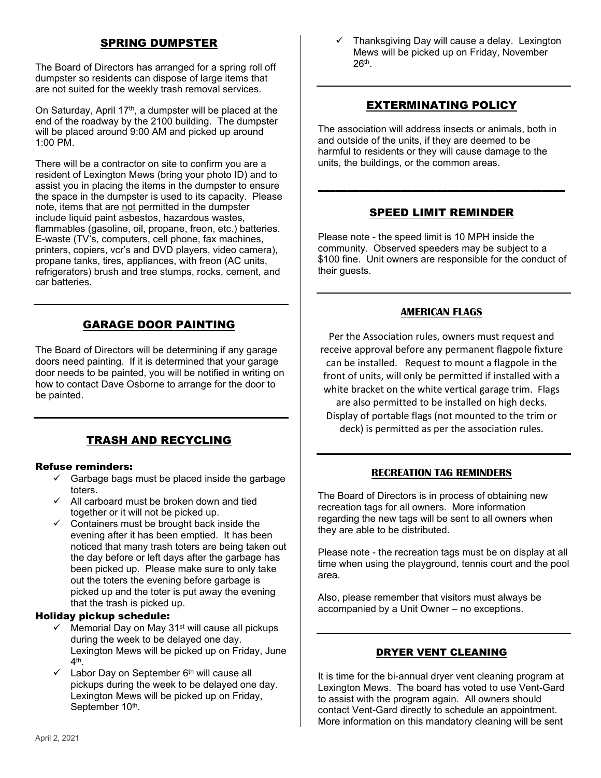## SPRING DUMPSTER

The Board of Directors has arranged for a spring roll off dumpster so residents can dispose of large items that are not suited for the weekly trash removal services.

On Saturday, April 17<sup>th</sup>, a dumpster will be placed at the end of the roadway by the 2100 building. The dumpster will be placed around 9:00 AM and picked up around 1:00 PM.

There will be a contractor on site to confirm you are a resident of Lexington Mews (bring your photo ID) and to assist you in placing the items in the dumpster to ensure the space in the dumpster is used to its capacity. Please note, items that are not permitted in the dumpster include liquid paint asbestos, hazardous wastes. flammables (gasoline, oil, propane, freon, etc.) batteries. E-waste (TV's, computers, cell phone, fax machines, printers, copiers, vcr's and DVD players, video camera), propane tanks, tires, appliances, with freon (AC units, refrigerators) brush and tree stumps, rocks, cement, and car batteries.

# GARAGE DOOR PAINTING

The Board of Directors will be determining if any garage doors need painting. If it is determined that your garage door needs to be painted, you will be notified in writing on how to contact Dave Osborne to arrange for the door to be painted.

# TRASH AND RECYCLING

#### Refuse reminders:

- $\checkmark$  Garbage bags must be placed inside the garbage toters.
- $\checkmark$  All carboard must be broken down and tied together or it will not be picked up.
- $\checkmark$  Containers must be brought back inside the evening after it has been emptied. It has been noticed that many trash toters are being taken out the day before or left days after the garbage has been picked up. Please make sure to only take out the toters the evening before garbage is picked up and the toter is put away the evening that the trash is picked up.

#### Holiday pickup schedule:

- Memorial Day on May 31<sup>st</sup> will cause all pickups during the week to be delayed one day. Lexington Mews will be picked up on Friday, June 4<sup>th</sup>.
- Labor Day on September 6<sup>th</sup> will cause all pickups during the week to be delayed one day. Lexington Mews will be picked up on Friday, September 10<sup>th</sup>.

Thanksgiving Day will cause a delay. Lexington Mews will be picked up on Friday, November  $26^{\text{th}}$ .

## EXTERMINATING POLICY

The association will address insects or animals, both in and outside of the units, if they are deemed to be harmful to residents or they will cause damage to the units, the buildings, or the common areas.

## SPEED LIMIT REMINDER

**\_\_\_\_\_\_\_\_\_\_\_\_\_\_\_\_\_\_\_\_\_\_\_\_\_\_\_\_\_\_\_\_\_\_\_\_\_\_\_\_\_\_**

Please note - the speed limit is 10 MPH inside the community. Observed speeders may be subject to a \$100 fine. Unit owners are responsible for the conduct of their guests.

#### **AMERICAN FLAGS**

Per the Association rules, owners must request and receive approval before any permanent flagpole fixture can be installed. Request to mount a flagpole in the front of units, will only be permitted if installed with a white bracket on the white vertical garage trim. Flags are also permitted to be installed on high decks. Display of portable flags (not mounted to the trim or deck) is permitted as per the association rules.

#### **RECREATION TAG REMINDERS**

The Board of Directors is in process of obtaining new recreation tags for all owners. More information regarding the new tags will be sent to all owners when they are able to be distributed.

Please note - the recreation tags must be on display at all time when using the playground, tennis court and the pool area.

Also, please remember that visitors must always be accompanied by a Unit Owner – no exceptions.

#### DRYER VENT CLEANING

It is time for the bi-annual dryer vent cleaning program at Lexington Mews. The board has voted to use Vent-Gard to assist with the program again. All owners should contact Vent-Gard directly to schedule an appointment. More information on this mandatory cleaning will be sent